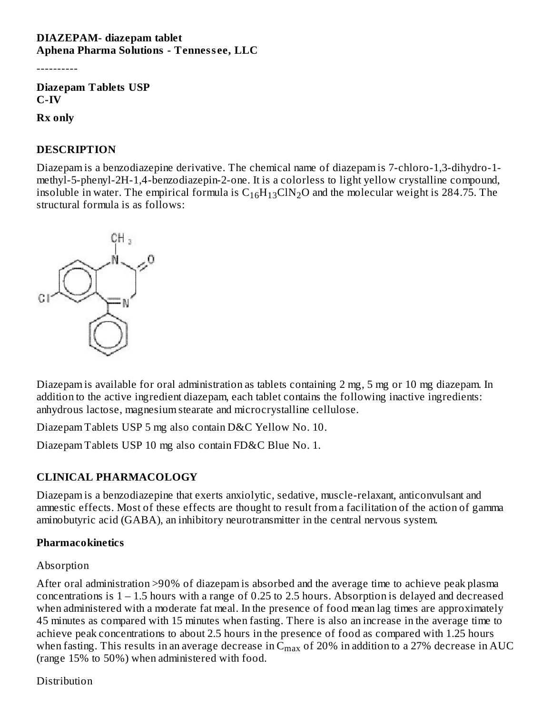#### **DIAZEPAM- diazepam tablet Aphena Pharma Solutions - Tenness ee, LLC**

----------

**Diazepam Tablets USP C-IV**

**Rx only**

#### **DESCRIPTION**

Diazepam is a benzodiazepine derivative. The chemical name of diazepam is 7-chloro-1,3-dihydro-1 methyl-5-phenyl-2H-1,4-benzodiazepin-2-one. It is a colorless to light yellow crystalline compound, insoluble in water. The empirical formula is  $\rm C_{16}H_{13}CIN_{2}O$  and the molecular weight is 284.75. The structural formula is as follows:



Diazepam is available for oral administration as tablets containing 2 mg, 5 mg or 10 mg diazepam. In addition to the active ingredient diazepam, each tablet contains the following inactive ingredients: anhydrous lactose, magnesium stearate and microcrystalline cellulose.

Diazepam Tablets USP 5 mg also contain D&C Yellow No. 10.

Diazepam Tablets USP 10 mg also contain FD&C Blue No. 1.

## **CLINICAL PHARMACOLOGY**

Diazepam is a benzodiazepine that exerts anxiolytic, sedative, muscle-relaxant, anticonvulsant and amnestic effects. Most of these effects are thought to result from a facilitation of the action of gamma aminobutyric acid (GABA), an inhibitory neurotransmitter in the central nervous system.

#### **Pharmacokinetics**

### Absorption

After oral administration >90% of diazepam is absorbed and the average time to achieve peak plasma concentrations is 1 – 1.5 hours with a range of 0.25 to 2.5 hours. Absorption is delayed and decreased when administered with a moderate fat meal. In the presence of food mean lag times are approximately 45 minutes as compared with 15 minutes when fasting. There is also an increase in the average time to achieve peak concentrations to about 2.5 hours in the presence of food as compared with 1.25 hours when fasting. This results in an average decrease in  $\rm{C_{max}}$  of 20% in addition to a 27% decrease in AUC (range 15% to 50%) when administered with food.

**Distribution**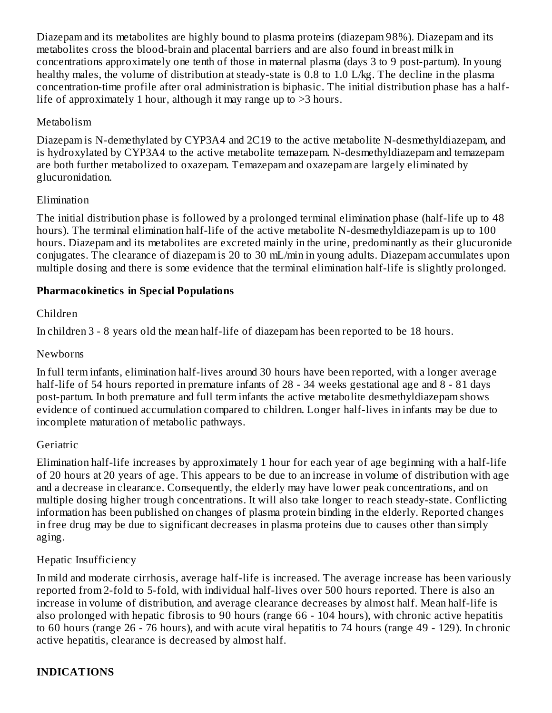Diazepam and its metabolites are highly bound to plasma proteins (diazepam 98%). Diazepam and its metabolites cross the blood-brain and placental barriers and are also found in breast milk in concentrations approximately one tenth of those in maternal plasma (days 3 to 9 post-partum). In young healthy males, the volume of distribution at steady-state is 0.8 to 1.0 L/kg. The decline in the plasma concentration-time profile after oral administration is biphasic. The initial distribution phase has a halflife of approximately 1 hour, although it may range up to >3 hours.

### Metabolism

Diazepam is N-demethylated by CYP3A4 and 2C19 to the active metabolite N-desmethyldiazepam, and is hydroxylated by CYP3A4 to the active metabolite temazepam. N-desmethyldiazepam and temazepam are both further metabolized to oxazepam. Temazepam and oxazepam are largely eliminated by glucuronidation.

### Elimination

The initial distribution phase is followed by a prolonged terminal elimination phase (half-life up to 48 hours). The terminal elimination half-life of the active metabolite N-desmethyldiazepam is up to 100 hours. Diazepam and its metabolites are excreted mainly in the urine, predominantly as their glucuronide conjugates. The clearance of diazepam is 20 to 30 mL/min in young adults. Diazepam accumulates upon multiple dosing and there is some evidence that the terminal elimination half-life is slightly prolonged.

### **Pharmacokinetics in Special Populations**

### Children

In children 3 - 8 years old the mean half-life of diazepam has been reported to be 18 hours.

#### Newborns

In full term infants, elimination half-lives around 30 hours have been reported, with a longer average half-life of 54 hours reported in premature infants of 28 - 34 weeks gestational age and 8 - 81 days post-partum. In both premature and full term infants the active metabolite desmethyldiazepam shows evidence of continued accumulation compared to children. Longer half-lives in infants may be due to incomplete maturation of metabolic pathways.

### **Geriatric**

Elimination half-life increases by approximately 1 hour for each year of age beginning with a half-life of 20 hours at 20 years of age. This appears to be due to an increase in volume of distribution with age and a decrease in clearance. Consequently, the elderly may have lower peak concentrations, and on multiple dosing higher trough concentrations. It will also take longer to reach steady-state. Conflicting information has been published on changes of plasma protein binding in the elderly. Reported changes in free drug may be due to significant decreases in plasma proteins due to causes other than simply aging.

### Hepatic Insufficiency

In mild and moderate cirrhosis, average half-life is increased. The average increase has been variously reported from 2-fold to 5-fold, with individual half-lives over 500 hours reported. There is also an increase in volume of distribution, and average clearance decreases by almost half. Mean half-life is also prolonged with hepatic fibrosis to 90 hours (range 66 - 104 hours), with chronic active hepatitis to 60 hours (range 26 - 76 hours), and with acute viral hepatitis to 74 hours (range 49 - 129). In chronic active hepatitis, clearance is decreased by almost half.

### **INDICATIONS**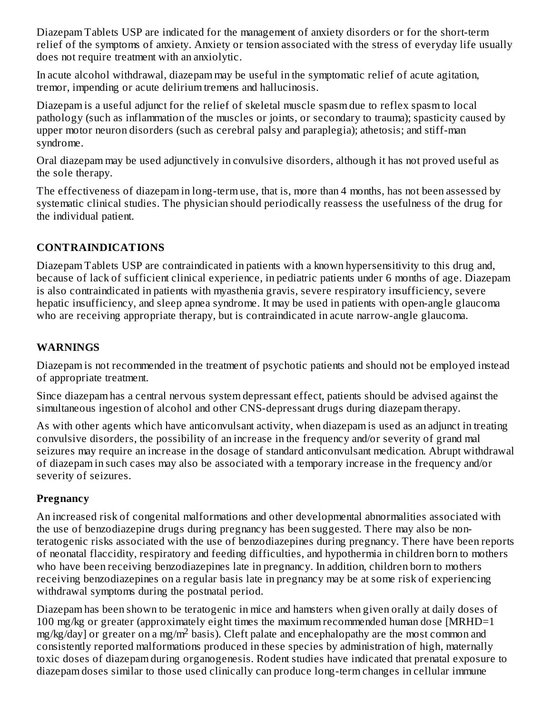Diazepam Tablets USP are indicated for the management of anxiety disorders or for the short-term relief of the symptoms of anxiety. Anxiety or tension associated with the stress of everyday life usually does not require treatment with an anxiolytic.

In acute alcohol withdrawal, diazepam may be useful in the symptomatic relief of acute agitation, tremor, impending or acute delirium tremens and hallucinosis.

Diazepam is a useful adjunct for the relief of skeletal muscle spasm due to reflex spasm to local pathology (such as inflammation of the muscles or joints, or secondary to trauma); spasticity caused by upper motor neuron disorders (such as cerebral palsy and paraplegia); athetosis; and stiff-man syndrome.

Oral diazepam may be used adjunctively in convulsive disorders, although it has not proved useful as the sole therapy.

The effectiveness of diazepam in long-term use, that is, more than 4 months, has not been assessed by systematic clinical studies. The physician should periodically reassess the usefulness of the drug for the individual patient.

## **CONTRAINDICATIONS**

Diazepam Tablets USP are contraindicated in patients with a known hypersensitivity to this drug and, because of lack of sufficient clinical experience, in pediatric patients under 6 months of age. Diazepam is also contraindicated in patients with myasthenia gravis, severe respiratory insufficiency, severe hepatic insufficiency, and sleep apnea syndrome. It may be used in patients with open-angle glaucoma who are receiving appropriate therapy, but is contraindicated in acute narrow-angle glaucoma.

## **WARNINGS**

Diazepam is not recommended in the treatment of psychotic patients and should not be employed instead of appropriate treatment.

Since diazepam has a central nervous system depressant effect, patients should be advised against the simultaneous ingestion of alcohol and other CNS-depressant drugs during diazepam therapy.

As with other agents which have anticonvulsant activity, when diazepam is used as an adjunct in treating convulsive disorders, the possibility of an increase in the frequency and/or severity of grand mal seizures may require an increase in the dosage of standard anticonvulsant medication. Abrupt withdrawal of diazepam in such cases may also be associated with a temporary increase in the frequency and/or severity of seizures.

## **Pregnancy**

An increased risk of congenital malformations and other developmental abnormalities associated with the use of benzodiazepine drugs during pregnancy has been suggested. There may also be nonteratogenic risks associated with the use of benzodiazepines during pregnancy. There have been reports of neonatal flaccidity, respiratory and feeding difficulties, and hypothermia in children born to mothers who have been receiving benzodiazepines late in pregnancy. In addition, children born to mothers receiving benzodiazepines on a regular basis late in pregnancy may be at some risk of experiencing withdrawal symptoms during the postnatal period.

Diazepam has been shown to be teratogenic in mice and hamsters when given orally at daily doses of 100 mg/kg or greater (approximately eight times the maximum recommended human dose [MRHD=1  $mg/kg/day$ ] or greater on a mg/m<sup>2</sup> basis). Cleft palate and encephalopathy are the most common and consistently reported malformations produced in these species by administration of high, maternally toxic doses of diazepam during organogenesis. Rodent studies have indicated that prenatal exposure to diazepam doses similar to those used clinically can produce long-term changes in cellular immune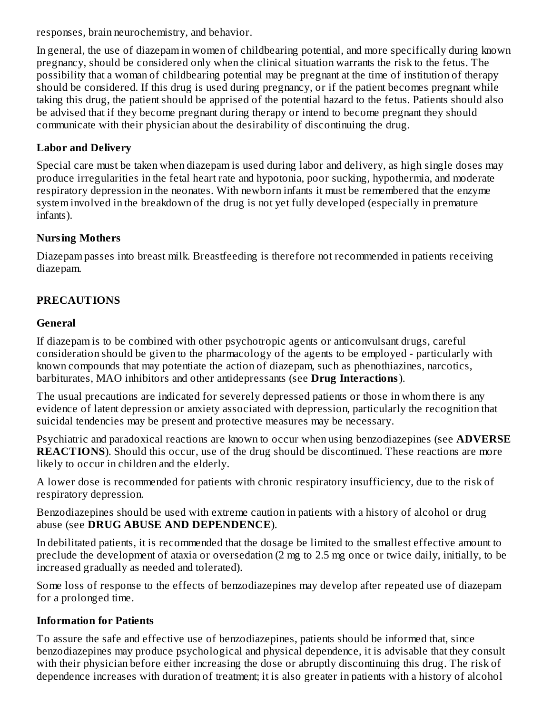responses, brain neurochemistry, and behavior.

In general, the use of diazepam in women of childbearing potential, and more specifically during known pregnancy, should be considered only when the clinical situation warrants the risk to the fetus. The possibility that a woman of childbearing potential may be pregnant at the time of institution of therapy should be considered. If this drug is used during pregnancy, or if the patient becomes pregnant while taking this drug, the patient should be apprised of the potential hazard to the fetus. Patients should also be advised that if they become pregnant during therapy or intend to become pregnant they should communicate with their physician about the desirability of discontinuing the drug.

### **Labor and Delivery**

Special care must be taken when diazepam is used during labor and delivery, as high single doses may produce irregularities in the fetal heart rate and hypotonia, poor sucking, hypothermia, and moderate respiratory depression in the neonates. With newborn infants it must be remembered that the enzyme system involved in the breakdown of the drug is not yet fully developed (especially in premature infants).

### **Nursing Mothers**

Diazepam passes into breast milk. Breastfeeding is therefore not recommended in patients receiving diazepam.

## **PRECAUTIONS**

### **General**

If diazepam is to be combined with other psychotropic agents or anticonvulsant drugs, careful consideration should be given to the pharmacology of the agents to be employed - particularly with known compounds that may potentiate the action of diazepam, such as phenothiazines, narcotics, barbiturates, MAO inhibitors and other antidepressants (see **Drug Interactions**).

The usual precautions are indicated for severely depressed patients or those in whom there is any evidence of latent depression or anxiety associated with depression, particularly the recognition that suicidal tendencies may be present and protective measures may be necessary.

Psychiatric and paradoxical reactions are known to occur when using benzodiazepines (see **ADVERSE REACTIONS**). Should this occur, use of the drug should be discontinued. These reactions are more likely to occur in children and the elderly.

A lower dose is recommended for patients with chronic respiratory insufficiency, due to the risk of respiratory depression.

Benzodiazepines should be used with extreme caution in patients with a history of alcohol or drug abuse (see **DRUG ABUSE AND DEPENDENCE**).

In debilitated patients, it is recommended that the dosage be limited to the smallest effective amount to preclude the development of ataxia or oversedation (2 mg to 2.5 mg once or twice daily, initially, to be increased gradually as needed and tolerated).

Some loss of response to the effects of benzodiazepines may develop after repeated use of diazepam for a prolonged time.

## **Information for Patients**

To assure the safe and effective use of benzodiazepines, patients should be informed that, since benzodiazepines may produce psychological and physical dependence, it is advisable that they consult with their physician before either increasing the dose or abruptly discontinuing this drug. The risk of dependence increases with duration of treatment; it is also greater in patients with a history of alcohol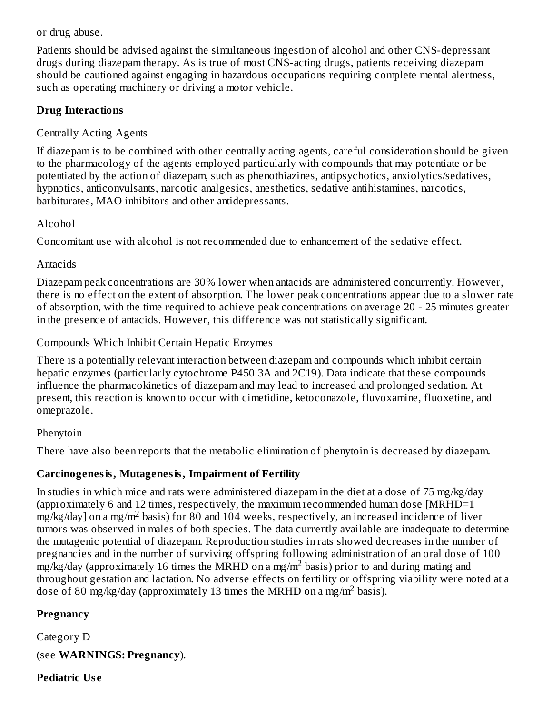or drug abuse.

Patients should be advised against the simultaneous ingestion of alcohol and other CNS-depressant drugs during diazepam therapy. As is true of most CNS-acting drugs, patients receiving diazepam should be cautioned against engaging in hazardous occupations requiring complete mental alertness, such as operating machinery or driving a motor vehicle.

### **Drug Interactions**

## Centrally Acting Agents

If diazepam is to be combined with other centrally acting agents, careful consideration should be given to the pharmacology of the agents employed particularly with compounds that may potentiate or be potentiated by the action of diazepam, such as phenothiazines, antipsychotics, anxiolytics/sedatives, hypnotics, anticonvulsants, narcotic analgesics, anesthetics, sedative antihistamines, narcotics, barbiturates, MAO inhibitors and other antidepressants.

### Alcohol

Concomitant use with alcohol is not recommended due to enhancement of the sedative effect.

### Antacids

Diazepam peak concentrations are 30% lower when antacids are administered concurrently. However, there is no effect on the extent of absorption. The lower peak concentrations appear due to a slower rate of absorption, with the time required to achieve peak concentrations on average 20 - 25 minutes greater in the presence of antacids. However, this difference was not statistically significant.

Compounds Which Inhibit Certain Hepatic Enzymes

There is a potentially relevant interaction between diazepam and compounds which inhibit certain hepatic enzymes (particularly cytochrome P450 3A and 2C19). Data indicate that these compounds influence the pharmacokinetics of diazepam and may lead to increased and prolonged sedation. At present, this reaction is known to occur with cimetidine, ketoconazole, fluvoxamine, fluoxetine, and omeprazole.

## Phenytoin

There have also been reports that the metabolic elimination of phenytoin is decreased by diazepam.

## **Carcinogenesis, Mutagenesis, Impairment of Fertility**

In studies in which mice and rats were administered diazepam in the diet at a dose of 75 mg/kg/day (approximately 6 and 12 times, respectively, the maximum recommended human dose [MRHD=1  $\frac{m}{\sqrt{2}}$  and  $\frac{m}{\sqrt{2}}$  ass  $\frac{m}{\sqrt{2}}$  basis) for 80 and 104 weeks, respectively, an increased incidence of liver tumors was observed in males of both species. The data currently available are inadequate to determine the mutagenic potential of diazepam. Reproduction studies in rats showed decreases in the number of pregnancies and in the number of surviving offspring following administration of an oral dose of 100  $mg/kg/day$  (approximately 16 times the MRHD on a mg/m<sup>2</sup> basis) prior to and during mating and throughout gestation and lactation. No adverse effects on fertility or offspring viability were noted at a dose of 80 mg/kg/day (approximately 13 times the MRHD on a mg/m<sup>2</sup> basis).

## **Pregnancy**

Category D

(see **WARNINGS: Pregnancy**).

## **Pediatric Us e**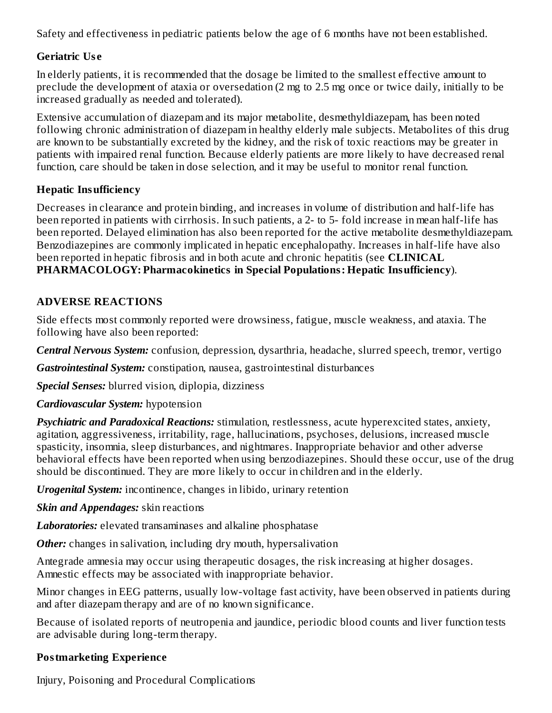Safety and effectiveness in pediatric patients below the age of 6 months have not been established.

### **Geriatric Us e**

In elderly patients, it is recommended that the dosage be limited to the smallest effective amount to preclude the development of ataxia or oversedation (2 mg to 2.5 mg once or twice daily, initially to be increased gradually as needed and tolerated).

Extensive accumulation of diazepam and its major metabolite, desmethyldiazepam, has been noted following chronic administration of diazepam in healthy elderly male subjects. Metabolites of this drug are known to be substantially excreted by the kidney, and the risk of toxic reactions may be greater in patients with impaired renal function. Because elderly patients are more likely to have decreased renal function, care should be taken in dose selection, and it may be useful to monitor renal function.

## **Hepatic Insufficiency**

Decreases in clearance and protein binding, and increases in volume of distribution and half-life has been reported in patients with cirrhosis. In such patients, a 2- to 5- fold increase in mean half-life has been reported. Delayed elimination has also been reported for the active metabolite desmethyldiazepam. Benzodiazepines are commonly implicated in hepatic encephalopathy. Increases in half-life have also been reported in hepatic fibrosis and in both acute and chronic hepatitis (see **CLINICAL PHARMACOLOGY: Pharmacokinetics in Special Populations: Hepatic Insufficiency**).

## **ADVERSE REACTIONS**

Side effects most commonly reported were drowsiness, fatigue, muscle weakness, and ataxia. The following have also been reported:

*Central Nervous System:* confusion, depression, dysarthria, headache, slurred speech, tremor, vertigo

*Gastrointestinal System:* constipation, nausea, gastrointestinal disturbances

*Special Senses:* blurred vision, diplopia, dizziness

## *Cardiovascular System:* hypotension

*Psychiatric and Paradoxical Reactions:* stimulation, restlessness, acute hyperexcited states, anxiety, agitation, aggressiveness, irritability, rage, hallucinations, psychoses, delusions, increased muscle spasticity, insomnia, sleep disturbances, and nightmares. Inappropriate behavior and other adverse behavioral effects have been reported when using benzodiazepines. Should these occur, use of the drug should be discontinued. They are more likely to occur in children and in the elderly.

*Urogenital System:* incontinence, changes in libido, urinary retention

*Skin and Appendages:* skin reactions

*Laboratories:* elevated transaminases and alkaline phosphatase

**Other:** changes in salivation, including dry mouth, hypersalivation

Antegrade amnesia may occur using therapeutic dosages, the risk increasing at higher dosages. Amnestic effects may be associated with inappropriate behavior.

Minor changes in EEG patterns, usually low-voltage fast activity, have been observed in patients during and after diazepam therapy and are of no known significance.

Because of isolated reports of neutropenia and jaundice, periodic blood counts and liver function tests are advisable during long-term therapy.

## **Postmarketing Experience**

Injury, Poisoning and Procedural Complications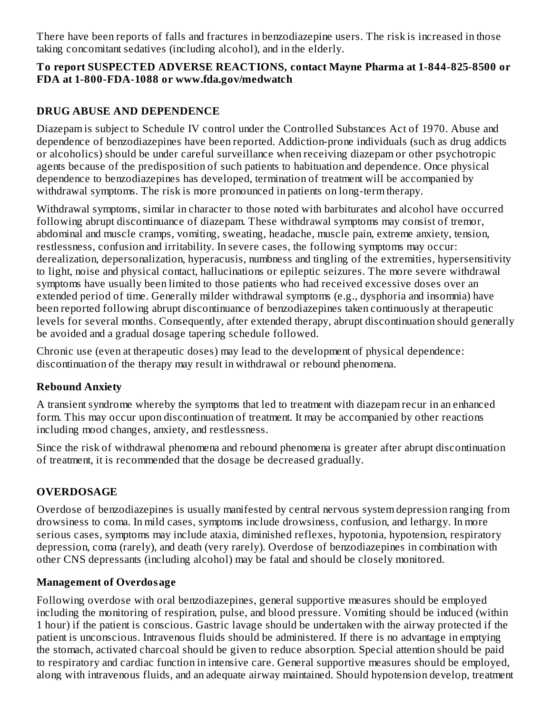There have been reports of falls and fractures in benzodiazepine users. The risk is increased in those taking concomitant sedatives (including alcohol), and in the elderly.

### **To report SUSPECTED ADVERSE REACTIONS, contact Mayne Pharma at 1-844-825-8500 or FDA at 1-800-FDA-1088 or www.fda.gov/medwatch**

# **DRUG ABUSE AND DEPENDENCE**

Diazepam is subject to Schedule IV control under the Controlled Substances Act of 1970. Abuse and dependence of benzodiazepines have been reported. Addiction-prone individuals (such as drug addicts or alcoholics) should be under careful surveillance when receiving diazepam or other psychotropic agents because of the predisposition of such patients to habituation and dependence. Once physical dependence to benzodiazepines has developed, termination of treatment will be accompanied by withdrawal symptoms. The risk is more pronounced in patients on long-term therapy.

Withdrawal symptoms, similar in character to those noted with barbiturates and alcohol have occurred following abrupt discontinuance of diazepam. These withdrawal symptoms may consist of tremor, abdominal and muscle cramps, vomiting, sweating, headache, muscle pain, extreme anxiety, tension, restlessness, confusion and irritability. In severe cases, the following symptoms may occur: derealization, depersonalization, hyperacusis, numbness and tingling of the extremities, hypersensitivity to light, noise and physical contact, hallucinations or epileptic seizures. The more severe withdrawal symptoms have usually been limited to those patients who had received excessive doses over an extended period of time. Generally milder withdrawal symptoms (e.g., dysphoria and insomnia) have been reported following abrupt discontinuance of benzodiazepines taken continuously at therapeutic levels for several months. Consequently, after extended therapy, abrupt discontinuation should generally be avoided and a gradual dosage tapering schedule followed.

Chronic use (even at therapeutic doses) may lead to the development of physical dependence: discontinuation of the therapy may result in withdrawal or rebound phenomena.

## **Rebound Anxiety**

A transient syndrome whereby the symptoms that led to treatment with diazepam recur in an enhanced form. This may occur upon discontinuation of treatment. It may be accompanied by other reactions including mood changes, anxiety, and restlessness.

Since the risk of withdrawal phenomena and rebound phenomena is greater after abrupt discontinuation of treatment, it is recommended that the dosage be decreased gradually.

## **OVERDOSAGE**

Overdose of benzodiazepines is usually manifested by central nervous system depression ranging from drowsiness to coma. In mild cases, symptoms include drowsiness, confusion, and lethargy. In more serious cases, symptoms may include ataxia, diminished reflexes, hypotonia, hypotension, respiratory depression, coma (rarely), and death (very rarely). Overdose of benzodiazepines in combination with other CNS depressants (including alcohol) may be fatal and should be closely monitored.

## **Management of Overdosage**

Following overdose with oral benzodiazepines, general supportive measures should be employed including the monitoring of respiration, pulse, and blood pressure. Vomiting should be induced (within 1 hour) if the patient is conscious. Gastric lavage should be undertaken with the airway protected if the patient is unconscious. Intravenous fluids should be administered. If there is no advantage in emptying the stomach, activated charcoal should be given to reduce absorption. Special attention should be paid to respiratory and cardiac function in intensive care. General supportive measures should be employed, along with intravenous fluids, and an adequate airway maintained. Should hypotension develop, treatment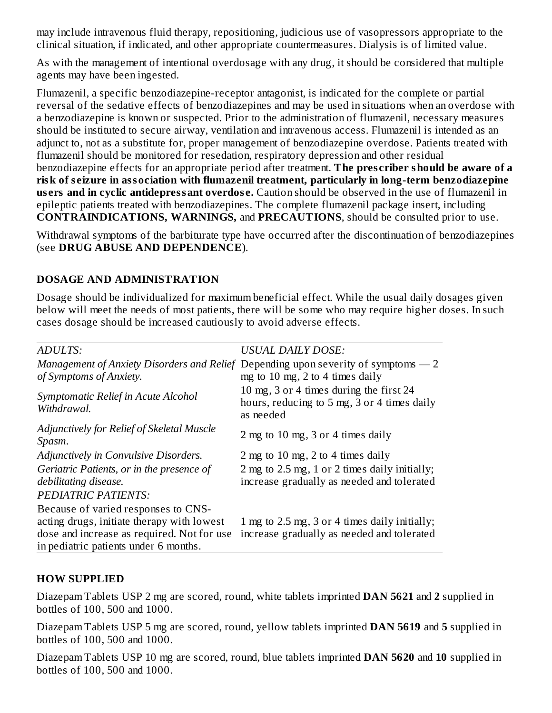may include intravenous fluid therapy, repositioning, judicious use of vasopressors appropriate to the clinical situation, if indicated, and other appropriate countermeasures. Dialysis is of limited value.

As with the management of intentional overdosage with any drug, it should be considered that multiple agents may have been ingested.

Flumazenil, a specific benzodiazepine-receptor antagonist, is indicated for the complete or partial reversal of the sedative effects of benzodiazepines and may be used in situations when an overdose with a benzodiazepine is known or suspected. Prior to the administration of flumazenil, necessary measures should be instituted to secure airway, ventilation and intravenous access. Flumazenil is intended as an adjunct to, not as a substitute for, proper management of benzodiazepine overdose. Patients treated with flumazenil should be monitored for resedation, respiratory depression and other residual benzodiazepine effects for an appropriate period after treatment. **The pres criber should be aware of a risk of s eizure in association with flumazenil treatment, particularly in long-term benzodiazepine us ers and in cyclic antidepressant overdos e.** Caution should be observed in the use of flumazenil in epileptic patients treated with benzodiazepines. The complete flumazenil package insert, including **CONTRAINDICATIONS, WARNINGS,** and **PRECAUTIONS**, should be consulted prior to use.

Withdrawal symptoms of the barbiturate type have occurred after the discontinuation of benzodiazepines (see **DRUG ABUSE AND DEPENDENCE**).

### **DOSAGE AND ADMINISTRATION**

Dosage should be individualized for maximum beneficial effect. While the usual daily dosages given below will meet the needs of most patients, there will be some who may require higher doses. In such cases dosage should be increased cautiously to avoid adverse effects.

| ADULTS:                                                                                                                                                                  | <b>USUAL DAILY DOSE:</b>                                                                                               |
|--------------------------------------------------------------------------------------------------------------------------------------------------------------------------|------------------------------------------------------------------------------------------------------------------------|
| of Symptoms of Anxiety.                                                                                                                                                  | Management of Anxiety Disorders and Relief Depending upon severity of symptoms $-2$<br>mg to 10 mg, 2 to 4 times daily |
| Symptomatic Relief in Acute Alcohol<br>Withdrawal.                                                                                                                       | 10 mg, 3 or 4 times during the first 24<br>hours, reducing to 5 mg, 3 or 4 times daily<br>as needed                    |
| Adjunctively for Relief of Skeletal Muscle<br>Spasm.                                                                                                                     | 2 mg to 10 mg, 3 or 4 times daily                                                                                      |
| <b>Adjunctively in Convulsive Disorders.</b>                                                                                                                             | 2 mg to 10 mg, 2 to 4 times daily                                                                                      |
| Geriatric Patients, or in the presence of<br>debilitating disease.                                                                                                       | 2 mg to 2.5 mg, 1 or 2 times daily initially;<br>increase gradually as needed and tolerated                            |
| <b>PEDIATRIC PATIENTS:</b>                                                                                                                                               |                                                                                                                        |
| Because of varied responses to CNS-<br>acting drugs, initiate therapy with lowest<br>dose and increase as required. Not for use<br>in pediatric patients under 6 months. | 1 mg to 2.5 mg, 3 or 4 times daily initially;<br>increase gradually as needed and tolerated                            |

### **HOW SUPPLIED**

Diazepam Tablets USP 2 mg are scored, round, white tablets imprinted **DAN 5621** and **2** supplied in bottles of 100, 500 and 1000.

Diazepam Tablets USP 5 mg are scored, round, yellow tablets imprinted **DAN 5619** and **5** supplied in bottles of 100, 500 and 1000.

Diazepam Tablets USP 10 mg are scored, round, blue tablets imprinted **DAN 5620** and **10** supplied in bottles of 100, 500 and 1000.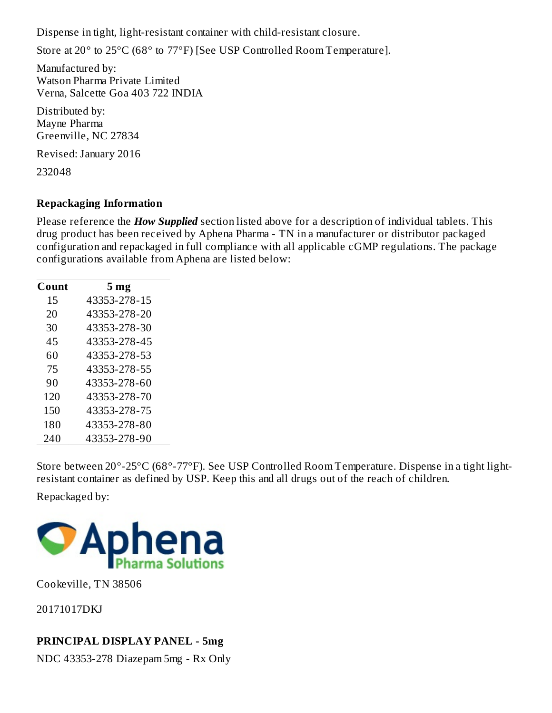Dispense in tight, light-resistant container with child-resistant closure.

Store at 20° to 25°C (68° to 77°F) [See USP Controlled Room Temperature].

Manufactured by: Watson Pharma Private Limited Verna, Salcette Goa 403 722 INDIA

Distributed by: Mayne Pharma Greenville, NC 27834

Revised: January 2016

232048

## **Repackaging Information**

Please reference the *How Supplied* section listed above for a description of individual tablets. This drug product has been received by Aphena Pharma - TN in a manufacturer or distributor packaged configuration and repackaged in full compliance with all applicable cGMP regulations. The package configurations available from Aphena are listed below:

| Count | 5 <sub>mg</sub> |
|-------|-----------------|
| 15    | 43353-278-15    |
| 20    | 43353-278-20    |
| 30    | 43353-278-30    |
| 45    | 43353-278-45    |
| 60    | 43353-278-53    |
| 75    | 43353-278-55    |
| 90    | 43353-278-60    |
| 120   | 43353-278-70    |
| 150   | 43353-278-75    |
| 180   | 43353-278-80    |
| 240   | 43353-278-90    |

Store between 20°-25°C (68°-77°F). See USP Controlled Room Temperature. Dispense in a tight lightresistant container as defined by USP. Keep this and all drugs out of the reach of children.

Repackaged by:



Cookeville, TN 38506

20171017DKJ

## **PRINCIPAL DISPLAY PANEL - 5mg**

NDC 43353-278 Diazepam 5mg - Rx Only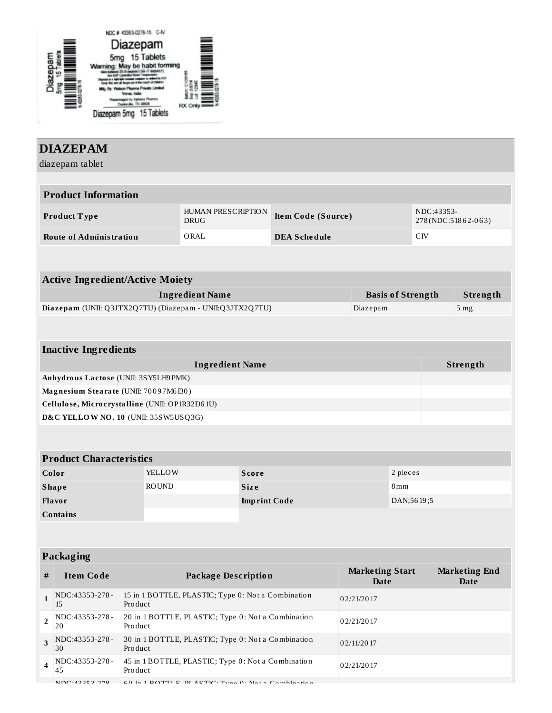

|                                                                | <b>DIAZEPAM</b>                                          |                                                               |                            |                                                                |              |                     |                        |                                  |                          |                      |  |
|----------------------------------------------------------------|----------------------------------------------------------|---------------------------------------------------------------|----------------------------|----------------------------------------------------------------|--------------|---------------------|------------------------|----------------------------------|--------------------------|----------------------|--|
|                                                                | diazepam tablet                                          |                                                               |                            |                                                                |              |                     |                        |                                  |                          |                      |  |
|                                                                |                                                          |                                                               |                            |                                                                |              |                     |                        |                                  |                          |                      |  |
|                                                                | <b>Product Information</b>                               |                                                               |                            |                                                                |              |                     |                        |                                  |                          |                      |  |
|                                                                | Product Type                                             |                                                               |                            | <b>HUMAN PRESCRIPTION</b><br>Item Code (Source)<br><b>DRUG</b> |              |                     |                        | NDC:43353-<br>278(NDC:51862-063) |                          |                      |  |
|                                                                | <b>Route of Administration</b>                           |                                                               |                            | ORAL                                                           |              | <b>DEA Schedule</b> |                        |                                  | CIV                      |                      |  |
|                                                                |                                                          |                                                               |                            |                                                                |              |                     |                        |                                  |                          |                      |  |
|                                                                | <b>Active Ingredient/Active Moiety</b>                   |                                                               |                            |                                                                |              |                     |                        |                                  |                          |                      |  |
|                                                                |                                                          |                                                               |                            | <b>Ingredient Name</b>                                         |              |                     |                        |                                  | <b>Basis of Strength</b> | Strength             |  |
|                                                                | Diazepam (UNII: Q3JTX2Q7TU) (Diazepam - UNII:Q3JTX2Q7TU) |                                                               |                            |                                                                |              |                     | Diazepam               |                                  |                          | 5 <sub>mg</sub>      |  |
|                                                                |                                                          |                                                               |                            |                                                                |              |                     |                        |                                  |                          |                      |  |
|                                                                |                                                          |                                                               |                            |                                                                |              |                     |                        |                                  |                          |                      |  |
|                                                                | <b>Inactive Ingredients</b>                              |                                                               |                            |                                                                |              |                     |                        |                                  |                          |                      |  |
| <b>Ingredient Name</b><br>Anhydrous Lactose (UNII: 3SY5LH9PMK) |                                                          |                                                               |                            |                                                                |              |                     | Strength               |                                  |                          |                      |  |
| Magnesium Stearate (UNII: 70097M6I30)                          |                                                          |                                                               |                            |                                                                |              |                     |                        |                                  |                          |                      |  |
|                                                                | Cellulose, Microcrystalline (UNII: OP1R32D61U)           |                                                               |                            |                                                                |              |                     |                        |                                  |                          |                      |  |
|                                                                | D&C YELLOW NO. 10 (UNII: 35SW5USQ3G)                     |                                                               |                            |                                                                |              |                     |                        |                                  |                          |                      |  |
|                                                                |                                                          |                                                               |                            |                                                                |              |                     |                        |                                  |                          |                      |  |
|                                                                |                                                          |                                                               |                            |                                                                |              |                     |                        |                                  |                          |                      |  |
|                                                                | <b>Product Characteristics</b>                           |                                                               |                            |                                                                |              |                     |                        |                                  |                          |                      |  |
|                                                                | Color                                                    |                                                               | YELLOW                     |                                                                | <b>Score</b> |                     |                        | 2 pieces                         |                          |                      |  |
| <b>Shape</b>                                                   |                                                          | <b>ROUND</b>                                                  |                            | <b>Size</b>                                                    |              |                     | 8mm                    |                                  |                          |                      |  |
|                                                                | Flavor                                                   | DAN;5619;5<br><b>Imprint Code</b>                             |                            |                                                                |              |                     |                        |                                  |                          |                      |  |
|                                                                | <b>Contains</b>                                          |                                                               |                            |                                                                |              |                     |                        |                                  |                          |                      |  |
|                                                                |                                                          |                                                               |                            |                                                                |              |                     |                        |                                  |                          |                      |  |
|                                                                | Packaging                                                |                                                               |                            |                                                                |              |                     |                        |                                  |                          |                      |  |
|                                                                |                                                          |                                                               |                            |                                                                |              |                     | <b>Marketing Start</b> |                                  |                          | <b>Marketing End</b> |  |
| $\#$                                                           | <b>Item Code</b>                                         |                                                               | <b>Package Description</b> |                                                                |              |                     | <b>Date</b>            |                                  |                          | <b>Date</b>          |  |
| $\mathbf{1}$                                                   | NDC:43353-278-<br>15                                     | 15 in 1 BOTTLE, PLASTIC; Type 0: Not a Combination<br>Product |                            |                                                                | 02/21/2017   |                     |                        |                                  |                          |                      |  |
| $\overline{2}$                                                 | NDC:43353-278-<br>20                                     | 20 in 1 BOTTLE, PLASTIC; Type 0: Not a Combination<br>Product |                            |                                                                | 02/21/2017   |                     |                        |                                  |                          |                      |  |
| 3                                                              | NDC:43353-278-<br>30                                     | 30 in 1 BOTTLE, PLASTIC; Type 0: Not a Combination<br>Product |                            |                                                                | 02/11/2017   |                     |                        |                                  |                          |                      |  |
| 4                                                              | NDC:43353-278-                                           | 45 in 1 BOTTLE, PLASTIC; Type 0: Not a Combination            |                            |                                                                | 02/21/2017   |                     |                        |                                  |                          |                      |  |

 $\overline{N}$ NDC:43353-378  $\overline{F}$  60 in 1 BOTTLE, BLACTIC; Type 0; Note Combination

Pro duct

45

IT